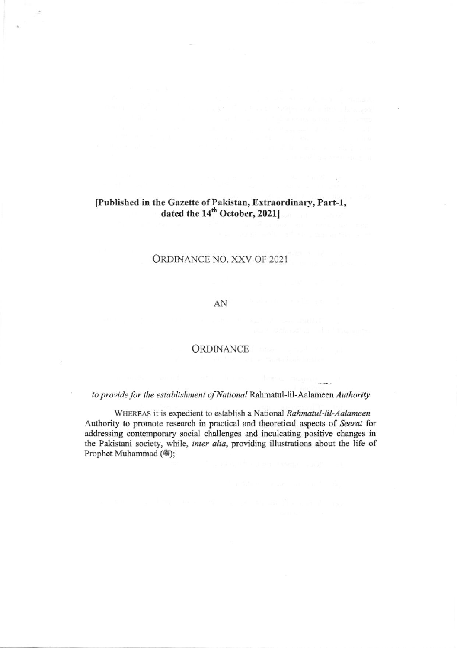# [Published in the Gazette of Pakistan, Extraordinary, Part-1,<br>dated the  $14<sup>th</sup>$  October, 2021]

## ORDINANCE NO. XXV OF 2021

#### AN

### ORDINANCE

## to provide for the establishment of National Rahmatul-lil-Aalameen Authority

WHEREAS it is expedient to establish a National Rahmatul-lil-Aalameen Authority to promote research in practical and theoretical aspects of Seerat for addressing contemporary social challenges and inculcating positive changes in the Pakistani society, while, inter alia, providing illustrations about the life of Prophet Muhammad (®);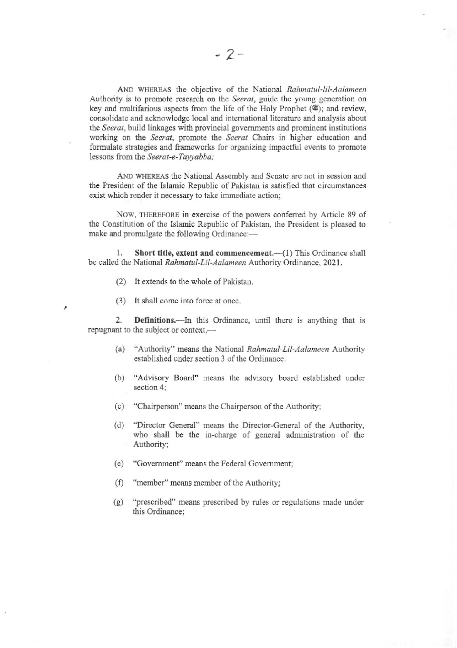AND WHEREAS the objective of the National Rahmatul-lil-Aalameen Authority is to promote research on the Seerat, guide the young generation on key and multifarious aspects from the life of the Holy Prophet (.); and review, consolidate and acknowledge local and international literature and analysis about the Seerat, build linkages with provincial governments and prominent institutions working on the Seerat, promote the Seerat Chairs in higher education and formulate strategies and frameworks for organizing impactful events to promote lessons from the Seerat-e-Tayyabba;

AND WHEREAS the National Assembly and Senate are not in session and the President of the Islamic Republic of Pakistan is satisfied that circumstances exist which render it necessary to take immediate action;

NOW, THEREFORE in exercise of the powers conferred by Article 89 of the Constitution of the Islamic Republic of Pakistan, the President is pleased to make and promulgate the following Ordinance:-

1. Short title, extent and commencement.-(1) This Ordinance shall be called the National Rahmatul-Lil-Aalameen Authority Ordinance, 2021.

- (2) It extends to the whole of Pakistan.
- (3) It shall come into force at once.

×

Definitions.—In this Ordinance, until there is anything that is 2. repugnant to the subject or context,-

- "Authority" means the National Rahmatul-Lil-Aalameen Authority  $(a)$ established under section 3 of the Ordinance.
- $(b)$ "Advisory Board" means the advisory board established under section 4;
- (c) "Chairperson" means the Chairperson of the Authority;
- "Director General" means the Director-General of the Authority,  $(d)$ who shall be the in-charge of general administration of the Authority;
- (e) "Government" means the Federal Government;
- (f) "member" means member of the Authority:
- "prescribed" means prescribed by rules or regulations made under  $(g)$ this Ordinance: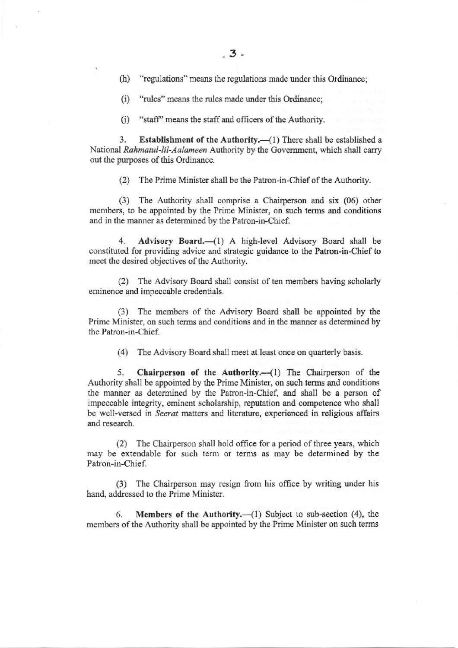"regulations" means the regulations made under this Ordinance;  $(h)$ 

(i) "rules" means the rules made under this Ordinance:

(i) "staff" means the staff and officers of the Authority.

3. Establishment of the Authority.-(1) There shall be established a National Rahmatul-lil-Aalameen Authority by the Government, which shall carry out the purposes of this Ordinance.

(2) The Prime Minister shall be the Patron-in-Chief of the Authority.

(3) The Authority shall comprise a Chairperson and six (06) other members, to be appointed by the Prime Minister, on such terms and conditions and in the manner as determined by the Patron-in-Chief.

 $4.$ Advisory Board.-(1) A high-level Advisory Board shall be constituted for providing advice and strategic guidance to the Patron-in-Chief to meet the desired objectives of the Authority.

(2) The Advisory Board shall consist of ten members having scholarly eminence and impeccable credentials.

(3) The members of the Advisory Board shall be appointed by the Prime Minister, on such terms and conditions and in the manner as determined by the Patron-in-Chief.

(4) The Advisory Board shall meet at least once on quarterly basis.

5. Chairperson of the Authority. $-(1)$  The Chairperson of the Authority shall be appointed by the Prime Minister, on such terms and conditions the manner as determined by the Patron-in-Chief, and shall be a person of impeccable integrity, eminent scholarship, reputation and competence who shall be well-versed in Seerat matters and literature, experienced in religious affairs and research.

(2) The Chairperson shall hold office for a period of three years, which may be extendable for such term or terms as may be determined by the Patron-in-Chief.

(3) The Chairperson may resign from his office by writing under his hand, addressed to the Prime Minister.

**Members of the Authority.**— $(1)$  Subject to sub-section  $(4)$ , the 6. members of the Authority shall be appointed by the Prime Minister on such terms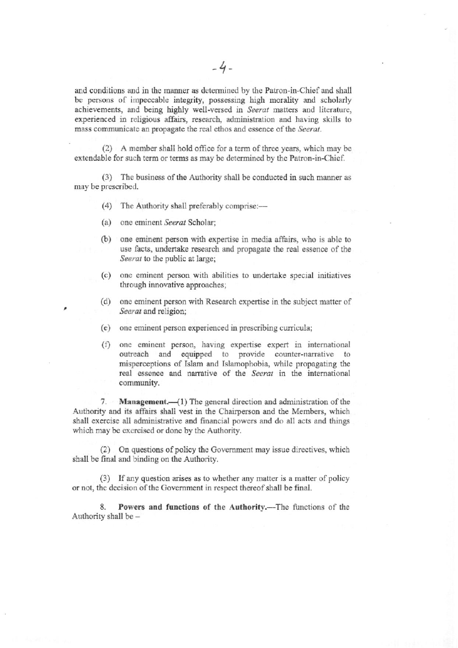and conditions and in the manner as determined by the Patron-in-Chief and shall be persons of impeccable integrity, possessing high morality and scholarly achievements, and being highly well-versed in Seerat matters and literature, experienced in religious affairs, research, administration and having skills to mass communicate an propagate the real ethos and essence of the Seerat.

(2) A member shall hold office for a term of three years, which may be extendable for such term or terms as may be determined by the Patron-in-Chief.

(3) The business of the Authority shall be conducted in such manner as may be prescribed.

- (4) The Authority shall preferably comprise:-
- (a) one eminent Seerat Scholar;
- (b) one eminent person with expertise in media affairs, who is able to use facts, undertake research and propagate the real essence of the Seerat to the public at large;
- one eminent person with abilities to undertake special initiatives  $(c)$ through innovative approaches;
- (d) one eminent person with Research expertise in the subject matter of Seerat and religion;
- (e) one eminent person experienced in prescribing curricula;
- (f) one eminent person, having expertise expert in international outreach and equipped to provide counter-narrative to misperceptions of Islam and Islamophobia, while propagating the real essence and narrative of the Seerat in the international community.

7. Management.—(1) The general direction and administration of the Authority and its affairs shall vest in the Chairperson and the Members, which shall exercise all administrative and financial powers and do all acts and things which may be exercised or done by the Authority.

(2) On questions of policy the Government may issue directives, which shall be final and binding on the Authority.

(3) If any question arises as to whether any matter is a matter of policy or not, the decision of the Government in respect thereof shall be final.

8. Powers and functions of the Authority.-The functions of the Authority shall be -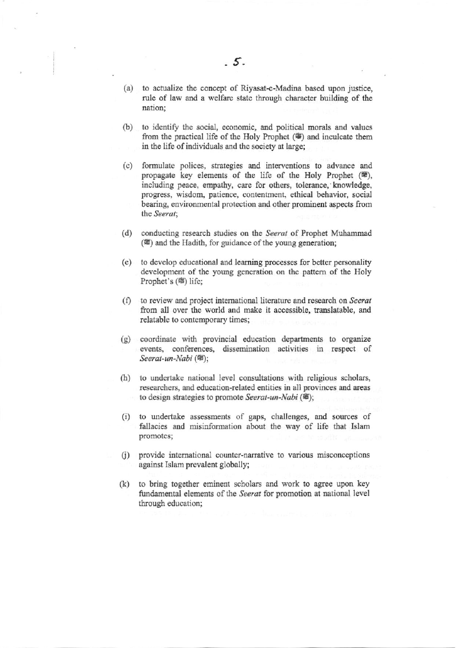- (a) to actualize the concept of Riyasat-e-Madina based upon justice, rule of law and a welfare state through character building of the nation;
- (b) to identify the social, economic, and political morals and values from the practical life of the Holy Prophet ( $\circledast$ ) and inculcate them in the life of individuals and the society at large;
- (c) formulate polices, strategies and interventions to advance and propagate key elements of the life of the Holy Prophet (簟), including peace, empathy, care for others, tolerance, knowledge, progress, wisdom, patience, contentment, ethical behavior, social bearing, environmental protection and other prominent aspects from the Seerat:
- conducting research studies on the Seerat of Prophet Muhammad  $(d)$ ( $\circ$ ) and the Hadith, for guidance of the young generation;
- (e) to develop educational and learning processes for better personality development of the young generation on the pattern of the Holy Prophet's (#) life;
- (f) to review and project international literature and research on Seerat from all over the world and make it accessible, translatable, and relatable to contemporary times;
- (g) coordinate with provincial education departments to organize events, conferences, dissemination activities in respect of Seerat-un-Nabi (#);
- (h) to undertake national level consultations with religious scholars, researchers, and education-related entities in all provinces and areas to design strategies to promote Seerat-un-Nabi (4);
- (i) to undertake assessments of gaps, challenges, and sources of fallacies and misinformation about the way of life that Islam promotes;
- (j) provide international counter-narrative to various misconceptions against Islam prevalent globally;
- to bring together eminent scholars and work to agree upon key  $(k)$ fundamental elements of the Seerat for promotion at national level through education;